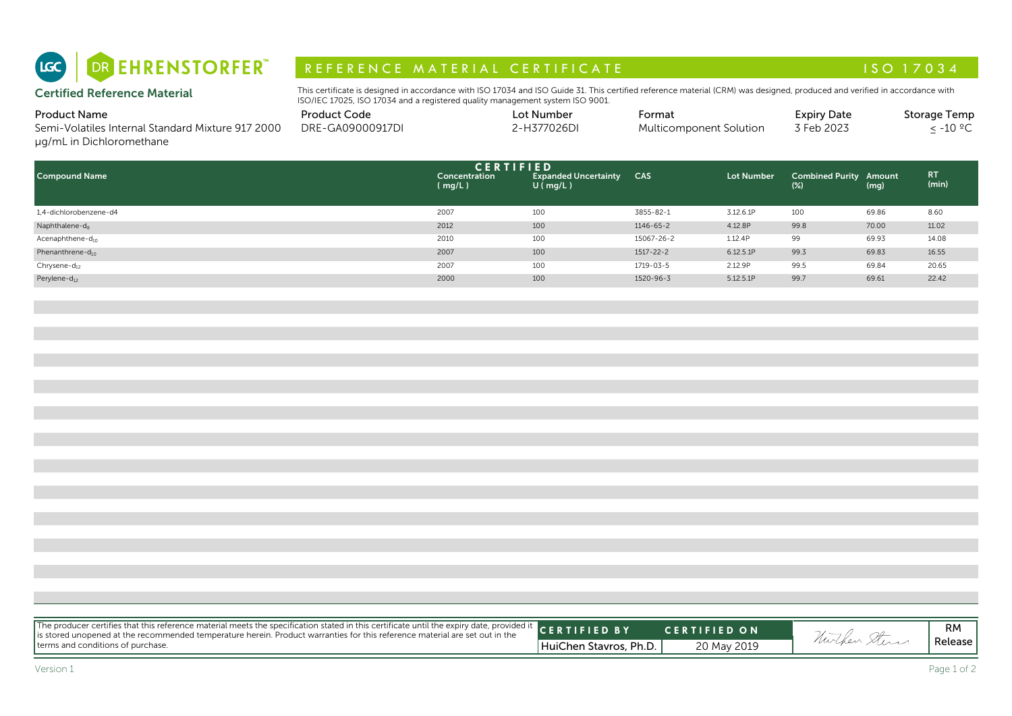

# R E F E R E N C E MAT E RIAL CERTIFICATE A LOS CONSTANTIONS AND LOS CONSTANTS AND LOS CONSTANTS AND LOS CONSTA

| <b>Product Name</b>                               | Product Code     | Lot Number  | ⊦ormat                  | <b>Expiry Date</b> | Storage Temp |
|---------------------------------------------------|------------------|-------------|-------------------------|--------------------|--------------|
| Semi-Volatiles Internal Standard Mixture 917 2000 | DRE-GA09000917DI | 2-H377026DI | Multicomponent Solution | 3 Feb 2023         | $-10$ °C     |
| µg/mL in Dichloromethane                          |                  |             |                         |                    |              |

| DR EHRENSTORFER <sup>®</sup><br>LGC                                                                  | REFERENCE MATERIAL CERTIFICATE                                                                                                                                                                                                                              |                         |                                                                 |                 |                         |                                         |       | ISO 17034                                      |
|------------------------------------------------------------------------------------------------------|-------------------------------------------------------------------------------------------------------------------------------------------------------------------------------------------------------------------------------------------------------------|-------------------------|-----------------------------------------------------------------|-----------------|-------------------------|-----------------------------------------|-------|------------------------------------------------|
| <b>Certified Reference Material</b>                                                                  | This certificate is designed in accordance with ISO 17034 and ISO Guide 31. This certified reference material (CRM) was designed, produced and verified in accordance with<br>ISO/IEC 17025, ISO 17034 and a registered quality management system ISO 9001. |                         |                                                                 |                 |                         |                                         |       |                                                |
| <b>Product Name</b><br>Semi-Volatiles Internal Standard Mixture 917 2000<br>µg/mL in Dichloromethane | <b>Product Code</b><br>DRE-GA09000917DI                                                                                                                                                                                                                     |                         | Lot Number<br>2-H377026DI                                       | Format          | Multicomponent Solution | <b>Expiry Date</b><br>3 Feb 2023        |       | <b>Storage Temp</b><br>$\leq$ -10 $^{\circ}$ C |
| <b>Compound Name</b>                                                                                 |                                                                                                                                                                                                                                                             | Concentration<br>(mq/L) | <b>CERTIFIED</b><br><b>Expanded Uncertainty</b><br>$U$ ( mg/L ) | CAS             | <b>Lot Number</b>       | <b>Combined Purity Amount</b><br>$(\%)$ | (mg)  | RT.<br>(min)                                   |
| 1.4-dichlorobenzene-d4                                                                               |                                                                                                                                                                                                                                                             | 2007                    | 100                                                             | 3855-82-1       | 3.12.6.1P               | 100                                     | 69.86 | 8.60                                           |
| Naphthalene-d <sub>8</sub>                                                                           |                                                                                                                                                                                                                                                             | 2012                    | 100                                                             | 1146-65-2       | 4.12.8P                 | 99.8                                    | 70.00 | 11.02                                          |
| Acenaphthene-d <sub>10</sub>                                                                         |                                                                                                                                                                                                                                                             | 2010                    | 100                                                             | 15067-26-2      | 1.12.4P                 | 99                                      | 69.93 | 14.08                                          |
| Phenanthrene-d <sub>10</sub>                                                                         |                                                                                                                                                                                                                                                             | 2007                    | 100                                                             | $1517 - 22 - 2$ | 6.12.5.1P               | 99.3                                    | 69.83 | 16.55                                          |
| Chrysene- $d_{12}$                                                                                   |                                                                                                                                                                                                                                                             | 2007                    | 100                                                             | 1719-03-5       | 2.12.9P                 | 99.5                                    | 69.84 | 20.65                                          |
| Perylene-d <sub>12</sub>                                                                             |                                                                                                                                                                                                                                                             | 2000                    | 100                                                             | 1520-96-3       | 5.12.5.1P               | 99.7                                    | 69.61 | 22.42                                          |

| The producer certifies that this reference material meets the specification stated in this certificate until the expiry date, provided it CERTIFIED BY           |                                                              |                |               |
|------------------------------------------------------------------------------------------------------------------------------------------------------------------|--------------------------------------------------------------|----------------|---------------|
| is stored unopened at the recommended temperature herein. Product warranties for this reference material are set out in the<br>terms and conditions of purchase. | <b>CERTIFIED ON</b><br>HuiChen Stavros, Ph.D.<br>20 May 2019 | Nurthen Stever | RM<br>Release |